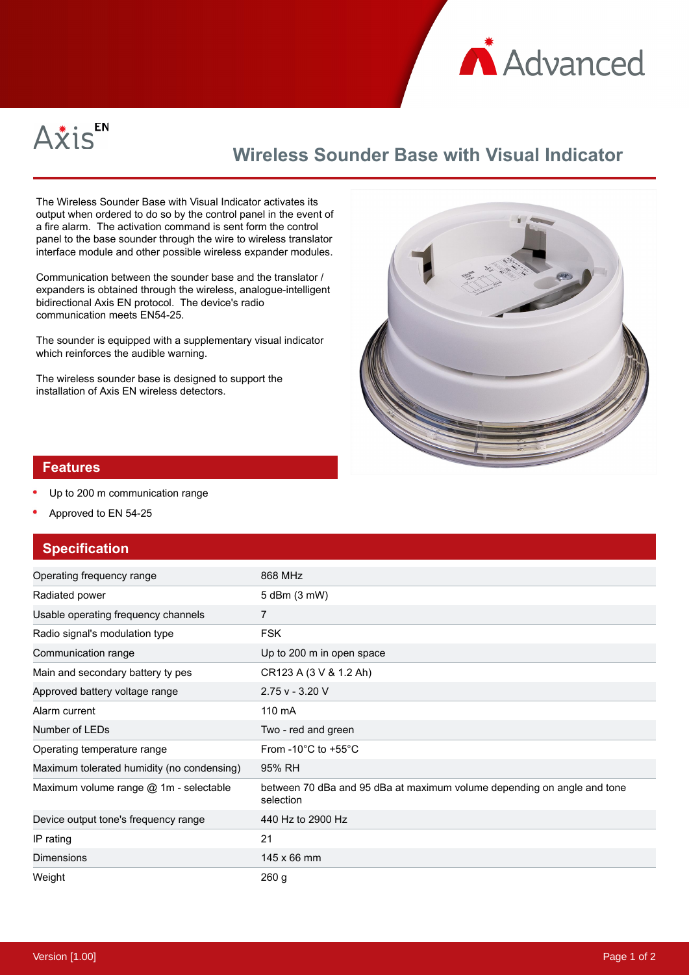



## **Wireless Sounder Base with Visual Indicator**

The Wireless Sounder Base with Visual Indicator activates its output when ordered to do so by the control panel in the event of a fire alarm. The activation command is sent form the control panel to the base sounder through the wire to wireless translator interface module and other possible wireless expander modules.

Communication between the sounder base and the translator / expanders is obtained through the wireless, analogue-intelligent bidirectional Axis EN protocol. The device's radio communication meets EN54-25.

The sounder is equipped with a supplementary visual indicator which reinforces the audible warning.

The wireless sounder base is designed to support the installation of Axis EN wireless detectors.



## **Features**

- Up to 200 m communication range
- Approved to EN 54-25

## **Specification**

| Operating frequency range                  | 868 MHz                                                                              |
|--------------------------------------------|--------------------------------------------------------------------------------------|
| Radiated power                             | 5 dBm (3 mW)                                                                         |
| Usable operating frequency channels        | 7                                                                                    |
| Radio signal's modulation type             | <b>FSK</b>                                                                           |
| Communication range                        | Up to 200 m in open space                                                            |
| Main and secondary battery ty pes          | CR123 A (3 V & 1.2 Ah)                                                               |
| Approved battery voltage range             | $2.75v - 3.20V$                                                                      |
| Alarm current                              | 110 mA                                                                               |
| Number of LEDs                             | Two - red and green                                                                  |
| Operating temperature range                | From -10 $^{\circ}$ C to +55 $^{\circ}$ C                                            |
| Maximum tolerated humidity (no condensing) | 95% RH                                                                               |
| Maximum volume range @ 1m - selectable     | between 70 dBa and 95 dBa at maximum volume depending on angle and tone<br>selection |
| Device output tone's frequency range       | 440 Hz to 2900 Hz                                                                    |
| IP rating                                  | 21                                                                                   |
| <b>Dimensions</b>                          | $145 \times 66$ mm                                                                   |
| Weight                                     | 260 <sub>g</sub>                                                                     |